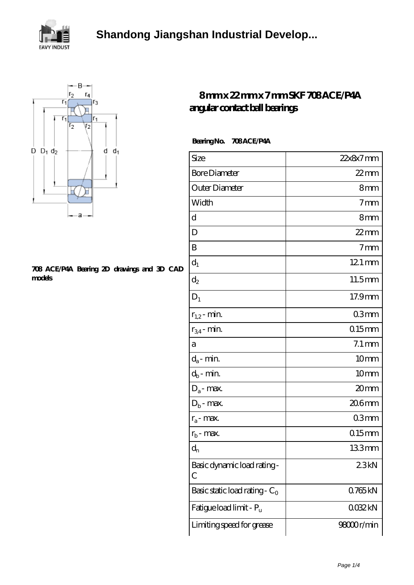



## **[708 ACE/P4A Bearing 2D drawings and 3D CAD](https://voyagemd.com/pic-65131334.html) [models](https://voyagemd.com/pic-65131334.html)**

## **[8 mm x 22 mm x 7 mm SKF 708 ACE/P4A](https://voyagemd.com/skf-708-ace-p4a-bearing/) [angular contact ball bearings](https://voyagemd.com/skf-708-ace-p4a-bearing/)**

| <b>Bearing No.</b> | 708ACE/P4A |
|--------------------|------------|
|--------------------|------------|

| Size                             | $22x8x7$ mm         |
|----------------------------------|---------------------|
| <b>Bore Diameter</b>             | $22$ mm             |
| Outer Diameter                   | 8mm                 |
| Width                            | 7 <sub>mm</sub>     |
| d                                | 8mm                 |
| D                                | $22$ mm             |
| B                                | 7 <sub>mm</sub>     |
| $d_1$                            | $121 \,\mathrm{mm}$ |
| $\mathrm{d}_2$                   | 11.5mm              |
| $D_1$                            | 17.9mm              |
| $r_{1,2}$ - min.                 | 03mm                |
| $r_{34}$ - min.                  | $015$ mm            |
| а                                | $7.1 \,\mathrm{mm}$ |
| $d_a$ - min.                     | 10 <sub>mm</sub>    |
| $d_b$ - min.                     | 10 <sub>mm</sub>    |
| $D_a$ - max.                     | 20 <sub>mm</sub>    |
| $D_b$ - max.                     | 206mm               |
| $r_a$ - max.                     | 03 <sub>mm</sub>    |
| $r_{b}$ - max.                   | $015$ mm            |
| $d_{n}$                          | 133mm               |
| Basic dynamic load rating-<br>С  | 23kN                |
| Basic static load rating - $C_0$ | 0765kN              |
| Fatigue load limit - Pu          | 0032kN              |
| Limiting speed for grease        | 98000r/min          |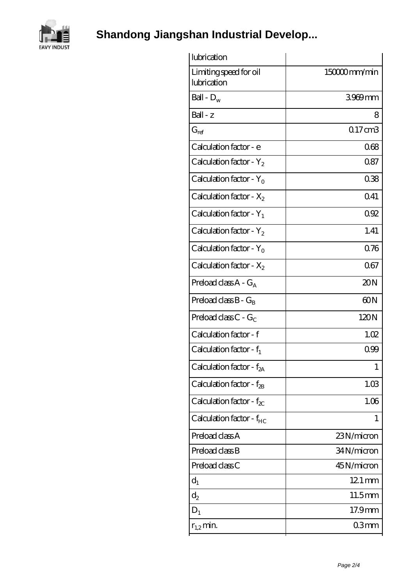

**[Shandong Jiangshan Industrial Develop...](https://voyagemd.com)**

| lubrication                           |                  |
|---------------------------------------|------------------|
| Limiting speed for oil<br>lubrication | 150000mm/min     |
| Ball - $D_w$                          | 3969mm           |
| $Ball - z$                            | 8                |
| $G_{ref}$                             | $017$ cm $3$     |
| Calculation factor - e                | 068              |
| Calculation factor - $Y_2$            | 087              |
| Calculation factor - $Y_0$            | 038              |
| Calculation factor - $X_2$            | 0.41             |
| Calculation factor - $Y_1$            | 0.92             |
| Calculation factor - $Y_2$            | 1.41             |
| Calculation factor - $Y_0$            | 0.76             |
| Calculation factor - $X_2$            | 067              |
| Preload class $A - G_A$               | 20N              |
| Preload class $B - G_B$               | 60N              |
| Preload class $C - G_C$               | 120N             |
| Calculation factor - f                | 1.02             |
| Calculation factor - $f_1$            | 099              |
| Calculation factor - $f_{2A}$         | 1                |
| Calculation factor - f <sub>2B</sub>  | 1.03             |
| Calculation factor - $f_{\chi}$       | 1.06             |
| Calculation factor - $f_{HC}$         | 1                |
| Preload class A                       | 23N/micron       |
| Preload class B                       | 34N/micron       |
| Preload class C                       | 45N/micron       |
| $d_1$                                 | $121$ mm         |
| $d_2$                                 | 11.5mm           |
| $D_1$                                 | 17.9mm           |
| $r_{1,2}$ min.                        | 03 <sub>mm</sub> |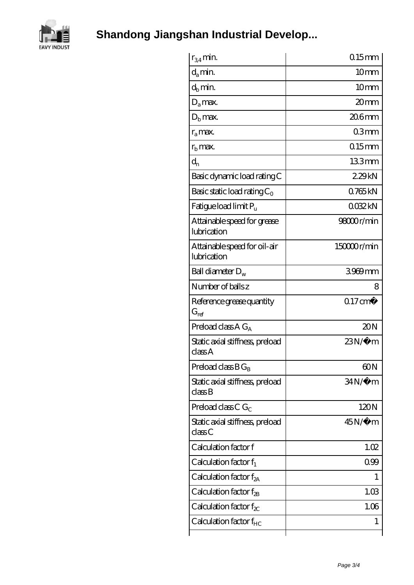

**[Shandong Jiangshan Industrial Develop...](https://voyagemd.com)**

| $r_{34}$ min.                               | $0.15$ mm           |
|---------------------------------------------|---------------------|
| $d_a$ min.                                  | 10 <sub>mm</sub>    |
| $d_h$ min.                                  | 10mm                |
| $D_a$ max.                                  | 20 <sub>mm</sub>    |
| $Db$ max.                                   | $206$ mm            |
| $r_a$ max.                                  | 03mm                |
| $rb$ max.                                   | $015$ mm            |
| $d_{n}$                                     | 133mm               |
| Basic dynamic load rating C                 | 229kN               |
| Basic static load rating $C_0$              | 0.765kN             |
| Fatigue load limit $P_u$                    | 0032kN              |
| Attainable speed for grease<br>lubrication  | 9800r/min           |
| Attainable speed for oil-air<br>lubrication | 15000r/min          |
| Ball diameter $D_w$                         | 3969mm              |
| Number of balls z                           | 8                   |
| Reference grease quantity<br>$G_{ref}$      | $0.17 \text{ cm}^3$ |
| Preload class $A G_A$                       | 20N                 |
| Static axial stiffness, preload<br>classA   | $23N/\mu$ m         |
| Preload class $BG_B$                        | 60N                 |
| Static axial stiffness, preload<br>class B  | $34N/\mu$ m         |
| Preload class C $G_C$                       | 120N                |
| Static axial stiffness, preload<br>classC   | $45N/\mu$ m         |
| Calculation factor f                        | 1.02                |
| Calculation factor $f_1$                    | 099                 |
| Calculation factor $f_{2A}$                 | L                   |
| Calculation factor $f_{2B}$                 | 1.03                |
| Calculation factor $f_{\chi}$               | 1.06                |
| Calculation factor $f_{HC}$                 | 1                   |
|                                             |                     |